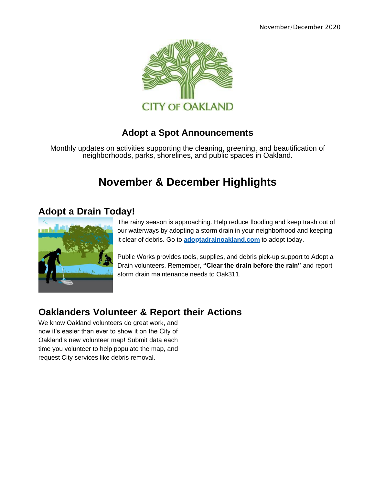

#### **Adopt a Spot Announcements**

Monthly updates on activities supporting the cleaning, greening, and beautification of neighborhoods, parks, shorelines, and public spaces in Oakland.

# **November & December Highlights**

#### **Adopt a Drain Today!**



The rainy season is approaching. Help reduce flooding and keep trash out of our waterways by adopting a storm drain in your neighborhood and keeping it clear of debris. Go to **[adoptadrainoakland.com](https://oaklandca19202.lt.acemlna.com/Prod/link-tracker?notrack=1&redirectUrl=aHR0cCUzQSUyRiUyRm9ha2xhbmRhZG9wdGFkcmFpbi5jb20lMkY%3D&sig=JA4krF2dgiHQtUFchSD2v7rbW4FPu3MrL7Xu8HrVkNiu&iat=1632343955&a=799335011&account=oaklandca19202%2Eactivehosted%2Ecom&email=LRRV6glqIfcVPcYsJBrMHi%2FZD%2BmsUFpJrc5fHf6IoVE%3D&s=bad97c655476f96a390a72c05a742011&i=553A538A2A6889)** to adopt today.

Public Works provides tools, supplies, and debris pick-up support to Adopt a Drain volunteers. Remember, **"Clear the drain before the rain"** and report storm drain maintenance needs to Oak311.

### **Oaklanders Volunteer & Report their Actions**

We know Oakland volunteers do great work, and now it's easier than ever to show it on the City of Oakland's new volunteer map! Submit data each time you volunteer to help populate the map, and request City services like debris removal.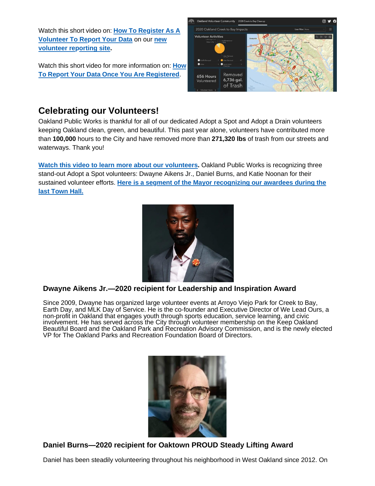Watch this short video on: **How To [Register](https://oaklandca19202.lt.acemlna.com/Prod/link-tracker?notrack=1&redirectUrl=aHR0cHMlM0ElMkYlMkZkcml2ZS5nb29nbGUuY29tJTJGZmlsZSUyRmQlMkYxV3VHWXBUYmxTMjdHNFBXUGRNRXJTSjZ5VlZZVHFJd1QlMkZ2aWV3JTNGdXNwJTNEc2hhcmluZw%3D%3D&sig=HSzNRVDnbptLnZfXCFxGutaquhjR8ekBwqGyh3YLSjoZ&iat=1632343955&a=799335011&account=oaklandca19202%2Eactivehosted%2Ecom&email=LRRV6glqIfcVPcYsJBrMHi%2FZD%2BmsUFpJrc5fHf6IoVE%3D&s=bad97c655476f96a390a72c05a742011&i=553A538A2A6815) As A [Volunteer To Report Your Data](https://oaklandca19202.lt.acemlna.com/Prod/link-tracker?notrack=1&redirectUrl=aHR0cHMlM0ElMkYlMkZvYWtsYW5kLXZvbHVudGVlci1jb21tdW5pdHktb2FrZ2lzLmh1Yi5hcmNnaXMuY29tJTJGcGFnZXMlMkZvYWtsYW5kLWNyZWVrLXRvLWJheS1jbGVhbnVw&sig=DFwj6VZwyMmwcMnnrBh2a47PwETXC9TWX2ro3cBGiiqj&iat=1632343955&a=799335011&account=oaklandca19202%2Eactivehosted%2Ecom&email=LRRV6glqIfcVPcYsJBrMHi%2FZD%2BmsUFpJrc5fHf6IoVE%3D&s=bad97c655476f96a390a72c05a742011&i=553A538A2A6816)** on our **new volunteer [reporting site.](https://oaklandca19202.lt.acemlna.com/Prod/link-tracker?notrack=1&redirectUrl=aHR0cHMlM0ElMkYlMkZvYWtsYW5kLXZvbHVudGVlci1jb21tdW5pdHktb2FrZ2lzLmh1Yi5hcmNnaXMuY29tJTJGcGFnZXMlMkZvYWtsYW5kLWNyZWVrLXRvLWJheS1jbGVhbnVw&sig=DFwj6VZwyMmwcMnnrBh2a47PwETXC9TWX2ro3cBGiiqj&iat=1632343955&a=799335011&account=oaklandca19202%2Eactivehosted%2Ecom&email=LRRV6glqIfcVPcYsJBrMHi%2FZD%2BmsUFpJrc5fHf6IoVE%3D&s=bad97c655476f96a390a72c05a742011&i=553A538A2A6816)**

Watch this short video for more [information](https://oaklandca19202.lt.acemlna.com/Prod/link-tracker?notrack=1&redirectUrl=aHR0cHMlM0ElMkYlMkZkcml2ZS5nb29nbGUuY29tJTJGZmlsZSUyRmQlMkYxUXhZVkd3aUIwVWZGbTNBcGpRVHN6c1N6NW5lOUxzaUMlMkZ2aWV3JTNGdXNwJTNEc2hhcmluZw%3D%3D&sig=HZXjwderFobYSD853rXLr38h6T8C74P8bychksNtktSC&iat=1632343955&a=799335011&account=oaklandca19202%2Eactivehosted%2Ecom&email=LRRV6glqIfcVPcYsJBrMHi%2FZD%2BmsUFpJrc5fHf6IoVE%3D&s=bad97c655476f96a390a72c05a742011&i=553A538A2A6817) on: **How To Report Your Data Once You Are [Registered](https://oaklandca19202.lt.acemlna.com/Prod/link-tracker?notrack=1&redirectUrl=aHR0cHMlM0ElMkYlMkZkcml2ZS5nb29nbGUuY29tJTJGZmlsZSUyRmQlMkYxUXhZVkd3aUIwVWZGbTNBcGpRVHN6c1N6NW5lOUxzaUMlMkZ2aWV3JTNGdXNwJTNEc2hhcmluZw%3D%3D&sig=HZXjwderFobYSD853rXLr38h6T8C74P8bychksNtktSC&iat=1632343955&a=799335011&account=oaklandca19202%2Eactivehosted%2Ecom&email=LRRV6glqIfcVPcYsJBrMHi%2FZD%2BmsUFpJrc5fHf6IoVE%3D&s=bad97c655476f96a390a72c05a742011&i=553A538A2A6817)**.



#### **Celebrating our Volunteers!**

Oakland Public Works is thankful for all of our dedicated Adopt a Spot and Adopt a Drain volunteers keeping Oakland clean, green, and beautiful. This past year alone, volunteers have contributed more than **100,000** hours to the City and have removed more than **271,320 lbs** of trash from our streets and waterways. Thank you!

[Watch this video to learn more about our volunteers.](https://oaklandca19202.lt.acemlna.com/Prod/link-tracker?notrack=1&redirectUrl=aHR0cHMlM0ElMkYlMkZkcml2ZS5nb29nbGUuY29tJTJGZmlsZSUyRmQlMkYxOVV4WmdzVmRPNVkwZWhlb3NhR0xuVlBqZXBFWnAyX08lMkZ2aWV3JTNGdXNwJTNEc2hhcmluZw%3D%3D&sig=HDQLbppwJ2CwXA4ZXFtEhbKGgwGWE9QSdFA4MhveCyTd&iat=1632343955&a=799335011&account=oaklandca19202%2Eactivehosted%2Ecom&email=LRRV6glqIfcVPcYsJBrMHi%2FZD%2BmsUFpJrc5fHf6IoVE%3D&s=bad97c655476f96a390a72c05a742011&i=553A538A2A6890) Oakland Public Works is recognizing three stand-out Adopt a Spot volunteers: Dwayne Aikens Jr., Daniel Burns, and Katie Noonan for their sustained volunteer efforts. **Here is a segment of the Mayor [recognizing](https://oaklandca19202.lt.acemlna.com/Prod/link-tracker?notrack=1&redirectUrl=aHR0cHMlM0ElMkYlMkZ5b3V0dS5iZSUyRnVwWUF5UklNdGVFJTNGdCUzRDUwMA%3D%3D&sig=6t3U4xjH45SksB7X5CTDu4QnL3CXE85kVsKSzsfZQUxT&iat=1632343955&a=799335011&account=oaklandca19202%2Eactivehosted%2Ecom&email=LRRV6glqIfcVPcYsJBrMHi%2FZD%2BmsUFpJrc5fHf6IoVE%3D&s=bad97c655476f96a390a72c05a742011&i=553A538A2A6891) our awardees during the last [Town Hall.](https://oaklandca19202.lt.acemlna.com/Prod/link-tracker?notrack=1&redirectUrl=aHR0cHMlM0ElMkYlMkZ5b3V0dS5iZSUyRnVwWUF5UklNdGVFJTNGdCUzRDUwMA%3D%3D&sig=6t3U4xjH45SksB7X5CTDu4QnL3CXE85kVsKSzsfZQUxT&iat=1632343955&a=799335011&account=oaklandca19202%2Eactivehosted%2Ecom&email=LRRV6glqIfcVPcYsJBrMHi%2FZD%2BmsUFpJrc5fHf6IoVE%3D&s=bad97c655476f96a390a72c05a742011&i=553A538A2A6891)**



#### **Dwayne Aikens Jr.—2020 recipient for Leadership and Inspiration Award**

Since 2009, Dwayne has organized large volunteer events at Arroyo Viejo Park for Creek to Bay, Earth Day, and MLK Day of Service. He is the co-founder and Executive Director of We Lead Ours, a non-profit in Oakland that engages youth through sports education, service learning, and civic involvement. He has served across the City through volunteer membership on the Keep Oakland Beautiful Board and the Oakland Park and Recreation Advisory Commission, and is the newly elected VP for The Oakland Parks and Recreation Foundation Board of Directors.



#### **Daniel Burns—2020 recipient for Oaktown PROUD Steady Lifting Award**

Daniel has been steadily volunteering throughout his neighborhood in West Oakland since 2012. On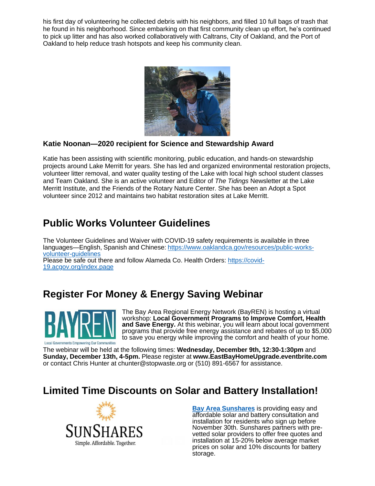his first day of volunteering he collected debris with his neighbors, and filled 10 full bags of trash that he found in his neighborhood. Since embarking on that first community clean up effort, he's continued to pick up litter and has also worked collaboratively with Caltrans, City of Oakland, and the Port of Oakland to help reduce trash hotspots and keep his community clean.



#### **Katie Noonan—2020 recipient for Science and Stewardship Award**

Katie has been assisting with scientific monitoring, public education, and hands-on stewardship projects around Lake Merritt for years. She has led and organized environmental restoration projects, volunteer litter removal, and water quality testing of the Lake with local high school student classes and Team Oakland. She is an active volunteer and Editor of *The Tidings* Newsletter at the Lake Merritt Institute, and the Friends of the Rotary Nature Center. She has been an Adopt a Spot volunteer since 2012 and maintains two habitat restoration sites at Lake Merritt.

## **Public Works Volunteer Guidelines**

The Volunteer Guidelines and Waiver with COVID-19 safety requirements is available in three languages—English, Spanish and Chinese: [https://www.oaklandca.gov/resources/public-works](https://oaklandca19202.lt.acemlna.com/Prod/link-tracker?notrack=1&redirectUrl=aHR0cHMlM0ElMkYlMkZ3d3cub2FrbGFuZGNhLmdvdiUyRnJlc291cmNlcyUyRnB1YmxpYy13b3Jrcy12b2x1bnRlZXItZ3VpZGVsaW5lcw%3D%3D&sig=DVpCcdTG1fvaN8eF6j4ckjMDzFbSqUPiyiCUG3k4NMCe&iat=1632343955&a=799335011&account=oaklandca19202%2Eactivehosted%2Ecom&email=LRRV6glqIfcVPcYsJBrMHi%2FZD%2BmsUFpJrc5fHf6IoVE%3D&s=bad97c655476f96a390a72c05a742011&i=553A538A2A6892)[volunteer-guidelines](https://oaklandca19202.lt.acemlna.com/Prod/link-tracker?notrack=1&redirectUrl=aHR0cHMlM0ElMkYlMkZ3d3cub2FrbGFuZGNhLmdvdiUyRnJlc291cmNlcyUyRnB1YmxpYy13b3Jrcy12b2x1bnRlZXItZ3VpZGVsaW5lcw%3D%3D&sig=DVpCcdTG1fvaN8eF6j4ckjMDzFbSqUPiyiCUG3k4NMCe&iat=1632343955&a=799335011&account=oaklandca19202%2Eactivehosted%2Ecom&email=LRRV6glqIfcVPcYsJBrMHi%2FZD%2BmsUFpJrc5fHf6IoVE%3D&s=bad97c655476f96a390a72c05a742011&i=553A538A2A6892) [Please be safe out there and follow Alameda Co. Health Orders: https://covid-](https://oaklandca19202.lt.acemlna.com/Prod/link-tracker?notrack=1&redirectUrl=aHR0cHMlM0ElMkYlMkZjb3ZpZC0xOS5hY2dvdi5vcmclMkZpbmRleC5wYWdl&sig=H3fSauwP6pMEvEtRxTW3sUqabhdcMNuCVsJnd6fX1UKp&iat=1632343955&a=799335011&account=oaklandca19202%2Eactivehosted%2Ecom&email=LRRV6glqIfcVPcYsJBrMHi%2FZD%2BmsUFpJrc5fHf6IoVE%3D&s=bad97c655476f96a390a72c05a742011&i=553A538A2A6893)[19.acgov.org/index.page](https://oaklandca19202.lt.acemlna.com/Prod/link-tracker?notrack=1&redirectUrl=aHR0cHMlM0ElMkYlMkZjb3ZpZC0xOS5hY2dvdi5vcmclMkZpbmRleC5wYWdl&sig=H3fSauwP6pMEvEtRxTW3sUqabhdcMNuCVsJnd6fX1UKp&iat=1632343955&a=799335011&account=oaklandca19202%2Eactivehosted%2Ecom&email=LRRV6glqIfcVPcYsJBrMHi%2FZD%2BmsUFpJrc5fHf6IoVE%3D&s=bad97c655476f96a390a72c05a742011&i=553A538A2A6893)

## **Register For Money & Energy Saving Webinar**



The Bay Area Regional Energy Network (BayREN) is hosting a virtual workshop: **Local Government Programs to Improve Comfort, Health and Save Energy.** At this webinar, you will learn about local government programs that provide free energy assistance and rebates of up to \$5,000 to save you energy while improving the comfort and health of your home.

The webinar will be held at the following times: **Wednesday, December 9th, 12:30-1:30pm** and **Sunday, December 13th, 4-5pm.** Please register at **[www.EastBayHomeUpgrade.eventbrite.com](http://www.eastbayhomeupgrade.eventbrite.com/)** or contact Chris Hunter at [chunter@stopwaste.org](mailto:chunter@stopwaste.org) or (510) 891-6567 for assistance.

### **Limited Time Discounts on Solar and Battery Installation!**



**[Bay Area Sunshares](https://oaklandca19202.lt.acemlna.com/Prod/link-tracker?notrack=1&redirectUrl=aHR0cHMlM0ElMkYlMkZ1cmxkZWZlbnNlLnByb29mcG9pbnQuY29tJTJGdjIlMkZ1cmwlM0Z1JTNEaHR0cHMtM0FfX29ha2xhbmRjYTE5MjAyLmx0LmFjZW1sbmEuY29tX1Byb2RfbGluay0yRHRyYWNrZXItM0Zub3RyYWNrLTNEMS0yNnJlZGlyZWN0VXJsLTNEYUhSMGNITWxNMEVsTWtZbE1rWjNkM2N1WW1GNVlYSmxZWE4xYm5Ob1lYSmxjeTV2Y21jbE1rWS0zRC0yNmEtM0Q3OTkzMzUwMTEtMjZhY2NvdW50LTNEb2FrbGFuZGNhMTkyMDItMjUyRWFjdGl2ZWhvc3RlZC0yNTJFY29tLTI2ZW1haWwtM0RZSXRVcmYtMjUyRnhFY2xVUk5RdGVRRmVnQ2R1RHQtMjUyRnVNVVFGZTQ3OGVVemIwOVEtMjUzRC0yNnMtM0Q0MjYyYTYyYmZlOTczOTdjZjY4ZTI1MGEwZDEwMDczMi0yNmktM0Q0NTJBNDM3QTBBNTI1NCUyNmQlM0REd01GYVElMjZjJTNENlpib0tkSnpSOG5aT3F3QmpoUG5DdyUyNnIlM0RjRzVtbVlDTThFaThHdkJCTHJSU0dsVnNhOUQ0R3Y5Z3Rsb0pZakpOdzJ3JTI2bSUzRDBOWjMxQ3dzYjJOMV9RcUdpdEc1MkFKSi1vRzVveXFuVER0TlpyS0M1OHclMjZzJTNEUlYzbGFrQkEzQ2p5cUk1WS1CTnR2eVVkY1lLNUROcEZRQjk5Q0VKdXQyRSUyNmUlM0Q%3D&sig=EK4FHcmrKwT5XDGhGxJGYqe9GiW8SbvDM4RGxyCSN8vJ&iat=1632343955&a=799335011&account=oaklandca19202%2Eactivehosted%2Ecom&email=LRRV6glqIfcVPcYsJBrMHi%2FZD%2BmsUFpJrc5fHf6IoVE%3D&s=bad97c655476f96a390a72c05a742011&i=553A538A2A6824)** is providing easy and affordable solar and battery consultation and installation for residents who sign up before November 30th. Sunshares partners with prevetted solar providers to offer free quotes and installation at 15-20% below average market prices on solar and 10% discounts for battery storage.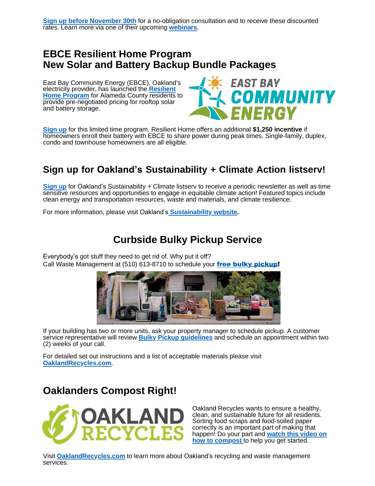## **EBCE Resilient Home Program New Solar and Battery Backup Bundle Packages**

East Bay Community Energy (EBCE), Oakland's [electricity](https://oaklandca19202.lt.acemlna.com/Prod/link-tracker?notrack=1&redirectUrl=aHR0cHMlM0ElMkYlMkZ1cmxkZWZlbnNlLnByb29mcG9pbnQuY29tJTJGdjIlMkZ1cmwlM0Z1JTNEaHR0cHMtM0FfX29ha2xhbmRjYTE5MjAyLmx0LmFjZW1sbmEuY29tX1Byb2RfbGluay0yRHRyYWNrZXItM0Zub3RyYWNrLTNEMS0yNnJlZGlyZWN0VXJsLTNEYUhSMGNITWxNMEVsTWtZbE1rWmxZbU5sTG05eVp5VXlSbkpsYzJsc2FXVnVkQzFvYjIxbEpUSkctMjZhLTNENzk5MzM1MDExLTI2YWNjb3VudC0zRG9ha2xhbmRjYTE5MjAyLTI1MkVhY3RpdmVob3N0ZWQtMjUyRWNvbS0yNmVtYWlsLTNEWUl0VXJmLTI1MkZ4RWNsVVJOUXRlUUZlZ0NkdUR0LTI1MkZ1TVVRRmU0NzhlVXpiMDlRLTI1M0QtMjZzLTNENDI2MmE2MmJmZTk3Mzk3Y2Y2OGUyNTBhMGQxMDA3MzItMjZpLTNENDUyQTQzN0EwQTUyNTYlMjZkJTNERHdNRmFRJTI2YyUzRDZaYm9LZEp6UjhuWk9xd0JqaFBuQ3clMjZyJTNEY0c1bW1ZQ004RWk4R3ZCQkxyUlNHbFZzYTlENEd2OWd0bG9KWWpKTncydyUyNm0lM0QwTlozMUN3c2IyTjFfUXFHaXRHNTJBSkotb0c1b3lxblREdE5acktDNTh3JTI2cyUzREVzNGM3UFJTUjdOaTBzRTdtb2NXVW5RMnVWalg5Z0d4NnoyVnNjNjJWb2clMjZlJTNE&sig=Av6xCWFUbHwq6uwh9yE7DwY6qbLoMJiCzMsRjPyiZKEs&iat=1632343955&a=799335011&account=oaklandca19202%2Eactivehosted%2Ecom&email=LRRV6glqIfcVPcYsJBrMHi%2FZD%2BmsUFpJrc5fHf6IoVE%3D&s=bad97c655476f96a390a72c05a742011&i=553A538A2A6826) provider, has launched the **Resilient Home Program** [for Alameda County residents](https://oaklandca19202.lt.acemlna.com/Prod/link-tracker?notrack=1&redirectUrl=aHR0cHMlM0ElMkYlMkZ1cmxkZWZlbnNlLnByb29mcG9pbnQuY29tJTJGdjIlMkZ1cmwlM0Z1JTNEaHR0cHMtM0FfX29ha2xhbmRjYTE5MjAyLmx0LmFjZW1sbmEuY29tX1Byb2RfbGluay0yRHRyYWNrZXItM0Zub3RyYWNrLTNEMS0yNnJlZGlyZWN0VXJsLTNEYUhSMGNITWxNMEVsTWtZbE1rWmxZbU5sTG05eVp5VXlSbkpsYzJsc2FXVnVkQzFvYjIxbEpUSkctMjZhLTNENzk5MzM1MDExLTI2YWNjb3VudC0zRG9ha2xhbmRjYTE5MjAyLTI1MkVhY3RpdmVob3N0ZWQtMjUyRWNvbS0yNmVtYWlsLTNEWUl0VXJmLTI1MkZ4RWNsVVJOUXRlUUZlZ0NkdUR0LTI1MkZ1TVVRRmU0NzhlVXpiMDlRLTI1M0QtMjZzLTNENDI2MmE2MmJmZTk3Mzk3Y2Y2OGUyNTBhMGQxMDA3MzItMjZpLTNENDUyQTQzN0EwQTUyNTYlMjZkJTNERHdNRmFRJTI2YyUzRDZaYm9LZEp6UjhuWk9xd0JqaFBuQ3clMjZyJTNEY0c1bW1ZQ004RWk4R3ZCQkxyUlNHbFZzYTlENEd2OWd0bG9KWWpKTncydyUyNm0lM0QwTlozMUN3c2IyTjFfUXFHaXRHNTJBSkotb0c1b3lxblREdE5acktDNTh3JTI2cyUzREVzNGM3UFJTUjdOaTBzRTdtb2NXVW5RMnVWalg5Z0d4NnoyVnNjNjJWb2clMjZlJTNE&sig=Av6xCWFUbHwq6uwh9yE7DwY6qbLoMJiCzMsRjPyiZKEs&iat=1632343955&a=799335011&account=oaklandca19202%2Eactivehosted%2Ecom&email=LRRV6glqIfcVPcYsJBrMHi%2FZD%2BmsUFpJrc5fHf6IoVE%3D&s=bad97c655476f96a390a72c05a742011&i=553A538A2A6826) to provide pre-negotiated pricing for rooftop solar and battery storage.



**[Sign up](https://oaklandca19202.lt.acemlna.com/Prod/link-tracker?notrack=1&redirectUrl=aHR0cHMlM0ElMkYlMkZ1cmxkZWZlbnNlLnByb29mcG9pbnQuY29tJTJGdjIlMkZ1cmwlM0Z1JTNEaHR0cHMtM0FfX29ha2xhbmRjYTE5MjAyLmx0LmFjZW1sbmEuY29tX1Byb2RfbGluay0yRHRyYWNrZXItM0Zub3RyYWNrLTNEMS0yNnJlZGlyZWN0VXJsLTNEYUhSMGNITWxNMEVsTWtZbE1rWmxZbU5sTG05eVp5VXlSbkpsYzJsc2FXVnVkQzFvYjIxbEpUSkctMjZhLTNENzk5MzM1MDExLTI2YWNjb3VudC0zRG9ha2xhbmRjYTE5MjAyLTI1MkVhY3RpdmVob3N0ZWQtMjUyRWNvbS0yNmVtYWlsLTNEWUl0VXJmLTI1MkZ4RWNsVVJOUXRlUUZlZ0NkdUR0LTI1MkZ1TVVRRmU0NzhlVXpiMDlRLTI1M0QtMjZzLTNENDI2MmE2MmJmZTk3Mzk3Y2Y2OGUyNTBhMGQxMDA3MzItMjZpLTNENDUyQTQzN0EwQTUyNTYlMjZkJTNERHdNRmFRJTI2YyUzRDZaYm9LZEp6UjhuWk9xd0JqaFBuQ3clMjZyJTNEY0c1bW1ZQ004RWk4R3ZCQkxyUlNHbFZzYTlENEd2OWd0bG9KWWpKTncydyUyNm0lM0QwTlozMUN3c2IyTjFfUXFHaXRHNTJBSkotb0c1b3lxblREdE5acktDNTh3JTI2cyUzREVzNGM3UFJTUjdOaTBzRTdtb2NXVW5RMnVWalg5Z0d4NnoyVnNjNjJWb2clMjZlJTNE&sig=Av6xCWFUbHwq6uwh9yE7DwY6qbLoMJiCzMsRjPyiZKEs&iat=1632343955&a=799335011&account=oaklandca19202%2Eactivehosted%2Ecom&email=LRRV6glqIfcVPcYsJBrMHi%2FZD%2BmsUFpJrc5fHf6IoVE%3D&s=bad97c655476f96a390a72c05a742011&i=553A538A2A6826)** for this limited time program. Resilient Home offers an additional **\$1,250 incentive** if homeowners enroll their battery with EBCE to share power during peak times. Single-family, duplex, condo and townhouse homeowners are all eligible.

## **Sign up for Oakland's Sustainability + Climate Action listserv!**

**[Sign](https://oaklandca19202.lt.acemlna.com/Prod/link-tracker?notrack=1&redirectUrl=aHR0cHMlM0ElMkYlMkZ3d3cub2FrbGFuZGNhLmdvdiUyRnNlcnZpY2VzJTJGc2lnbi11cC1mb3Itc3VzdGFpbmFiaWxpdHktYW5kLWNsaW1hdGUtbmV3cw%3D%3D&sig=8nAq2tMdziTw2kLKd2UGjYdkzGz4iEYEYbUd4KKy6U4d&iat=1632343955&a=799335011&account=oaklandca19202%2Eactivehosted%2Ecom&email=LRRV6glqIfcVPcYsJBrMHi%2FZD%2BmsUFpJrc5fHf6IoVE%3D&s=bad97c655476f96a390a72c05a742011&i=553A538A2A6827) up** for Oakland's Sustainability + Climate listserv to receive a periodic newsletter as well as time sensitive resources and opportunities to engage in equitable climate action! Featured topics include clean energy and transportation resources, waste and materials, and climate resilience.

For more information, please visit Oakland's **[Sustainability website.](https://oaklandca19202.lt.acemlna.com/Prod/link-tracker?notrack=1&redirectUrl=aHR0cHMlM0ElMkYlMkZ3d3cub2FrbGFuZGNhLmdvdiUyRnRvcGljcyUyRnN1c3RhaW5hYmxlLW9ha2xhbmQtMQ%3D%3D&sig=BrXx77Y7qpHqU6Yx7utG3DKEVjmNxuMvajCQar1UejA8&iat=1632343955&a=799335011&account=oaklandca19202%2Eactivehosted%2Ecom&email=LRRV6glqIfcVPcYsJBrMHi%2FZD%2BmsUFpJrc5fHf6IoVE%3D&s=bad97c655476f96a390a72c05a742011&i=553A538A2A6828)**

## **Curbside Bulky Pickup Service**

Everybody's got stuff they need to get rid of. Why put it off? Call Waste Management at (510) 613-8710 to schedule your free bulky [pickup!](https://oaklandca19202.lt.acemlna.com/Prod/link-tracker?notrack=1&redirectUrl=aHR0cHMlM0ElMkYlMkZ5b3V0dS5iZSUyRmI5SmU3V1VGbExF&sig=B16oULAsDHhEChnNsCs1WkQN7E8wMPWkd944FMLRWwRq&iat=1632343955&a=799335011&account=oaklandca19202%2Eactivehosted%2Ecom&email=LRRV6glqIfcVPcYsJBrMHi%2FZD%2BmsUFpJrc5fHf6IoVE%3D&s=bad97c655476f96a390a72c05a742011&i=553A538A2A6829)



If your building has two or more units, ask your property manager to schedule pickup. A customer service representative will review **Bulky Pickup [guidelines](https://oaklandca19202.lt.acemlna.com/Prod/link-tracker?notrack=1&redirectUrl=aHR0cHMlM0ElMkYlMkZ3d3cub2FrbGFuZHJlY3ljbGVzLmNvbSUyRmJ1bGt5LXBpY2t1cC1zZXJ2aWNlcyUyRg%3D%3D&sig=Guxr2EVkQnWi6yRUvxdvwbTSk4RcUZiTNdjcUFupSQQ4&iat=1632343955&a=799335011&account=oaklandca19202%2Eactivehosted%2Ecom&email=LRRV6glqIfcVPcYsJBrMHi%2FZD%2BmsUFpJrc5fHf6IoVE%3D&s=bad97c655476f96a390a72c05a742011&i=553A538A2A6830)** and schedule an appointment within two (2) weeks of your call.

For detailed set out instructions and a list of acceptable materials please visit **[OaklandRecycles.com](https://oaklandca19202.lt.acemlna.com/Prod/link-tracker?notrack=1&redirectUrl=aHR0cHMlM0ElMkYlMkZ3d3cub2FrbGFuZHJlY3ljbGVzLmNvbSUyRmJ1bGt5LXBpY2t1cC1zZXJ2aWNlcyUyRg%3D%3D&sig=Guxr2EVkQnWi6yRUvxdvwbTSk4RcUZiTNdjcUFupSQQ4&iat=1632343955&a=799335011&account=oaklandca19202%2Eactivehosted%2Ecom&email=LRRV6glqIfcVPcYsJBrMHi%2FZD%2BmsUFpJrc5fHf6IoVE%3D&s=bad97c655476f96a390a72c05a742011&i=553A538A2A6830)**.

## **Oaklanders Compost Right!**



Oakland Recycles wants to ensure a healthy, clean, and sustainable future for all residents. Sorting food scraps and food-soiled paper correctly is an important part of making that [happen! Do your part and](https://oaklandca19202.lt.acemlna.com/Prod/link-tracker?notrack=1&redirectUrl=aHR0cHMlM0ElMkYlMkZ3d3cueW91dHViZS5jb20lMkZ3YXRjaCUzRnYlM0REZ252YlB3NHY1TSUyNmZlYXR1cmUlM0R5b3V0dS5iZQ%3D%3D&sig=DZjMooejFZUnGZ7ewS2Nf8sh9ADHxkJwPHv7MDdvrMQ9&iat=1632343955&a=799335011&account=oaklandca19202%2Eactivehosted%2Ecom&email=LRRV6glqIfcVPcYsJBrMHi%2FZD%2BmsUFpJrc5fHf6IoVE%3D&s=bad97c655476f96a390a72c05a742011&i=553A538A2A6831) **watch this video on how to compost** [to help you get started.](https://oaklandca19202.lt.acemlna.com/Prod/link-tracker?notrack=1&redirectUrl=aHR0cHMlM0ElMkYlMkZ3d3cueW91dHViZS5jb20lMkZ3YXRjaCUzRnYlM0REZ252YlB3NHY1TSUyNmZlYXR1cmUlM0R5b3V0dS5iZQ%3D%3D&sig=DZjMooejFZUnGZ7ewS2Nf8sh9ADHxkJwPHv7MDdvrMQ9&iat=1632343955&a=799335011&account=oaklandca19202%2Eactivehosted%2Ecom&email=LRRV6glqIfcVPcYsJBrMHi%2FZD%2BmsUFpJrc5fHf6IoVE%3D&s=bad97c655476f96a390a72c05a742011&i=553A538A2A6831)

Visit **[OaklandRecycles.com](https://oaklandca19202.lt.acemlna.com/Prod/link-tracker?notrack=1&redirectUrl=aHR0cCUzQSUyRiUyRnd3dy5vYWtsYW5kcmVjeWNsZXMuY29tJTJG&sig=4ES4kgFMyfVzWQ32pyHr9N7aczfagXFhsxeNurBFw49s&iat=1632343955&a=799335011&account=oaklandca19202%2Eactivehosted%2Ecom&email=LRRV6glqIfcVPcYsJBrMHi%2FZD%2BmsUFpJrc5fHf6IoVE%3D&s=bad97c655476f96a390a72c05a742011&i=553A538A2A6832)** to learn more about Oakland's recycling and waste management services.